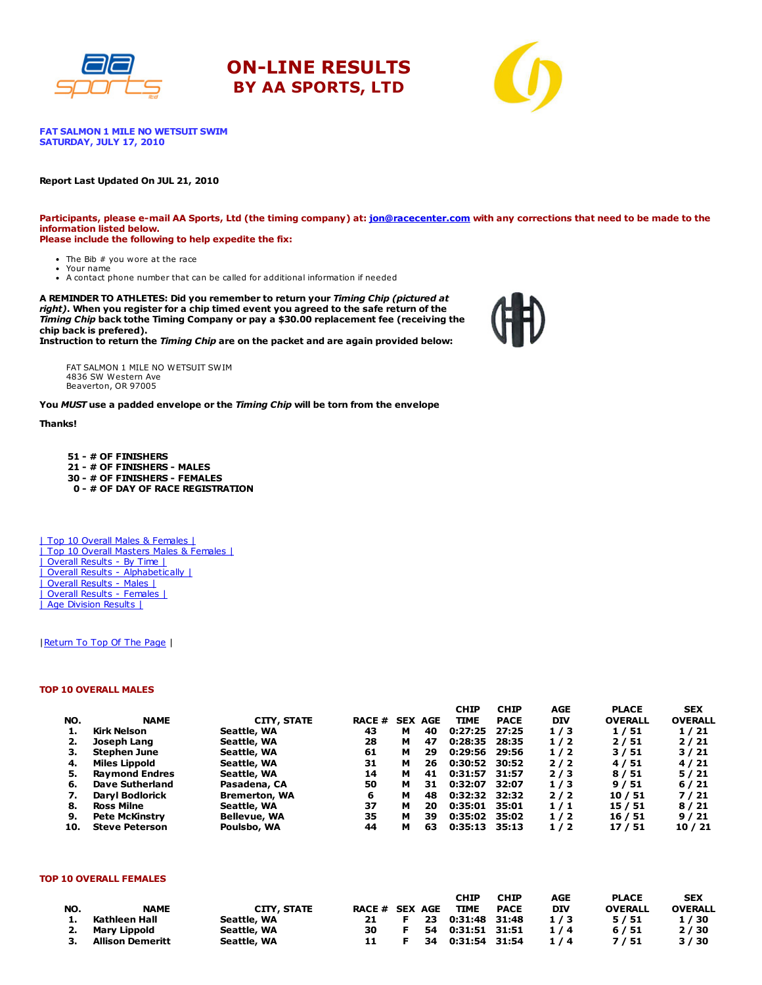





FAT SALMON 1 MILE NO WETSUIT SWIM SATURDAY, JULY 17, 2010

#### Report Last Updated On JUL 21, 2010

Participants, please e-mail AA Sports, Ltd (the timing company) at: [jon@racecenter.com](mailto:jon@racecenter.com?subject=Fat%20Salmon%201%20Mile%20No%20Wetsuit%20Swim%20Race%20Inquiry) with any corrections that need to be made to the information listed below. Please include the following to help expedite the fix:

- The Bib # you wore at the race Your name
- A contact phone number that can be called for additional information if needed

A REMINDER TO ATHLETES: Did you remember to return your Timing Chip (pictured at right). When you register for a chip timed event you agreed to the safe return of the Timing Chip back tothe Timing Company or pay a \$30.00 replacement fee (receiving the chip back is prefered).

Instruction to return the Timing Chip are on the packet and are again provided below:

FAT SALMON 1 MILE NO WETSUIT SWIM 4836 SW Western Ave Beaverton, OR 97005

You MUST use a padded envelope or the Timing Chip will be torn from the envelope

#### Thanks!

 - # OF FINISHERS - # OF FINISHERS - MALES - # OF FINISHERS - FEMALES - # OF DAY OF RACE REGISTRATION

| Top 10 Overall Males & Females | | Top 10 Overall Masters Males & Females | | Overall Results - By Time | | Overall Results - Alphabetically | | Overall Results - Males | | Overall Results - Females | | Age Division Results |

#### | Return To Top Of The Page |

#### TOP 10 OVERALL MALES

|     |                        |                      |               |   |                | <b>CHIP</b>   | <b>CHIP</b> | <b>AGE</b> | <b>PLACE</b>   | <b>SEX</b>     |
|-----|------------------------|----------------------|---------------|---|----------------|---------------|-------------|------------|----------------|----------------|
| NO. | <b>NAME</b>            | <b>CITY, STATE</b>   | <b>RACE #</b> |   | <b>SEX AGE</b> | <b>TIME</b>   | <b>PACE</b> | <b>DIV</b> | <b>OVERALL</b> | <b>OVERALL</b> |
| 1.  | Kirk Nelson            | Seattle, WA          | 43            | м | 40             | 0:27:25       | 27:25       | 1/3        | 1/51           | 1/21           |
| 2.  | Joseph Lang            | Seattle, WA          | 28            | м | 47             | 0:28:35       | 28:35       | 1/2        | 2/51           | 2/21           |
| з.  | Stephen June           | Seattle, WA          | 61            | м | 29             | 0:29:56       | 29:56       | 1/2        | 3/51           | 3/21           |
| 4.  | <b>Miles Lippold</b>   | Seattle, WA          | 31            | м | 26             | 0:30:52 30:52 |             | 2/2        | 4/51           | 4/21           |
| 5.  | <b>Raymond Endres</b>  | Seattle, WA          | 14            | м | 41             | 0:31:57 31:57 |             | 2/3        | 8/51           | 5/21           |
| 6.  | Dave Sutherland        | Pasadena, CA         | 50            | м | 31             | 0:32:07       | 32:07       | 1/3        | 9/51           | 6/21           |
| 7.  | <b>Daryl Bodlorick</b> | <b>Bremerton, WA</b> | 6             | м | 48             | 0:32:32 32:32 |             | 2/2        | 10/51          | 7/21           |
| 8.  | <b>Ross Milne</b>      | Seattle, WA          | 37            | м | 20             | 0:35:01 35:01 |             | 1/1        | 15 / 51        | 8/21           |
| 9.  | <b>Pete McKinstry</b>  | <b>Bellevue, WA</b>  | 35            | м | 39             | 0:35:02       | 35:02       | 1/2        | 16 / 51        | 9/21           |
| 10. | <b>Steve Peterson</b>  | Poulsbo, WA          | 44            | м | 63             | 0:35:13       | 35:13       | 1/2        | 17 / 51        | 10/21          |

#### TOP 10 OVERALL FEMALES

|     |                     |                    |                |              | <b>CHIP</b>      | <b>CHIP</b> | AGE        | <b>PLACE</b>   | <b>SEX</b>     |
|-----|---------------------|--------------------|----------------|--------------|------------------|-------------|------------|----------------|----------------|
| NO. | <b>NAME</b>         | <b>CITY, STATE</b> | RACE # SEX AGE |              | TIME             | <b>PACE</b> | <b>DIV</b> | <b>OVERALL</b> | <b>OVERALL</b> |
| 1.  | Kathleen Hall       | Seattle, WA        | 21 F           |              | 23 0:31:48 31:48 |             | 1/3        | 5/51           | 1/30           |
|     | 2. Mary Lippold     | Seattle, WA        | 30             | $\mathbf{F}$ |                  |             | 1/4        | 6/51           | 2/30           |
|     | 3. Allison Demeritt | Seattle, WA        |                |              | 34 0:31:54 31:54 |             | 1/4        | 7/51           | 3/30           |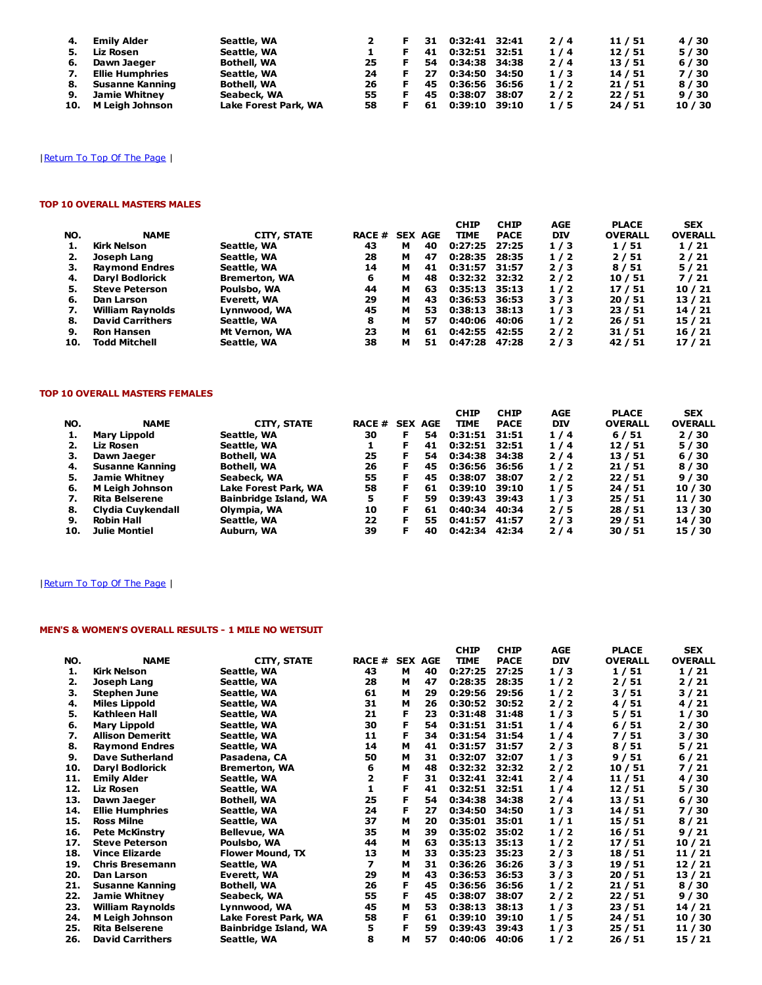|    | 4. Emily Alder      | Seattle, WA          |     | 31 | 0:32:41 32:41 |       | 2/4 | 11 / 51 | 4/30    |
|----|---------------------|----------------------|-----|----|---------------|-------|-----|---------|---------|
| 5. | Liz Rosen           | Seattle, WA          |     | 41 | 0:32:51 32:51 |       | 1/4 | 12/51   | 5/30    |
| 6. | Dawn Jaeger         | Bothell, WA          | 25. | 54 | 0:34:38 34:38 |       | 2/4 | 13/51   | 6/30    |
| 7. | Ellie Humphries     | Seattle, WA          | 24  | 27 | 0:34:50 34:50 |       | 1/3 | 14/51   | 7/30    |
|    | 8. Susanne Kanning  | <b>Bothell, WA</b>   | 26  | 45 | 0:36:56 36:56 |       | 1/2 | 21/51   | 8/30    |
| 9. | Jamie Whitney       | Seabeck, WA          | 55. | 45 | 0:38:07       | 38:07 | 2/2 | 22/51   | 9/30    |
|    | 10. M Leigh Johnson | Lake Forest Park, WA | 58. | 61 | 0:39:10 39:10 |       | 1/5 | 24/51   | 10 / 30 |

## | Return To Top Of The Page |

#### TOP 10 OVERALL MASTERS MALES

| NO. | <b>NAME</b>             | <b>CITY, STATE</b>   | <b>RACE #</b> |   | <b>SEX AGE</b> | <b>CHIP</b><br><b>TIME</b> | <b>CHIP</b><br><b>PACE</b> | <b>AGE</b><br>DIV | <b>PLACE</b><br><b>OVERALL</b> | <b>SEX</b><br><b>OVERALL</b> |
|-----|-------------------------|----------------------|---------------|---|----------------|----------------------------|----------------------------|-------------------|--------------------------------|------------------------------|
|     | Kirk Nelson             | Seattle, WA          | 43            | м | 40             | 0:27:25                    | 27:25                      | 1/3               | 1/51                           | 1/21                         |
| 2.  | Joseph Lang             | Seattle, WA          | 28            | м | 47             | 0:28:35                    | 28:35                      | 1/2               | 2/51                           | 2/21                         |
| З.  | <b>Raymond Endres</b>   | Seattle, WA          | 14            | м | 41             | 0:31:57                    | 31:57                      | 2/3               | 8/51                           | 5/21                         |
| 4.  | <b>Daryl Bodlorick</b>  | <b>Bremerton, WA</b> | 6             | м | 48             | 0:32:32 32:32              |                            | 2/2               | 10/51                          | 7/21                         |
| 5.  | <b>Steve Peterson</b>   | Poulsbo, WA          | 44            | м | 63             | $0:35:13$ 35:13            |                            | 1/2               | 17/51                          | 10/21                        |
| 6.  | Dan Larson              | Everett, WA          | 29            | м | 43             | 0:36:53 36:53              |                            | 3/3               | 20/51                          | 13/21                        |
| 7.  | William Raynolds        | Lynnwood, WA         | 45            | м | 53             | $0:38:13$ 38:13            |                            | 1/3               | 23/51                          | 14/21                        |
| 8.  | <b>David Carrithers</b> | Seattle, WA          | 8             | м | 57             | 0:40:06                    | 40:06                      | 1/2               | 26/51                          | 15/21                        |
| 9.  | <b>Ron Hansen</b>       | Mt Vernon, WA        | 23            | м | 61             | 0:42:55                    | 42:55                      | 2/2               | 31/51                          | 16/21                        |
| 10. | Todd Mitchell           | Seattle, WA          | 38            | м | 51             | 0:47:28                    | 47:28                      | 2/3               | 42 / 51                        | 17 / 21                      |

#### TOP 10 OVERALL MASTERS FEMALES

| NO. | <b>NAME</b>            | <b>CITY, STATE</b>    | <b>RACE #</b> |    | <b>SEX AGE</b> | <b>CHIP</b><br><b>TIME</b> | <b>CHIP</b><br><b>PACE</b> | AGE<br><b>DIV</b> | <b>PLACE</b><br><b>OVERALL</b> | <b>SEX</b><br><b>OVERALL</b> |
|-----|------------------------|-----------------------|---------------|----|----------------|----------------------------|----------------------------|-------------------|--------------------------------|------------------------------|
|     | <b>Mary Lippold</b>    | Seattle, WA           | 30            | F  | 54             | 0:31:51 31:51              |                            | 1/4               | 6/51                           | 2/30                         |
|     | Liz Rosen              | Seattle, WA           |               |    | 41             | 0:32:51 32:51              |                            | 1/4               | 12/51                          | 5/30                         |
| з.  | Dawn Jaeger            | <b>Bothell, WA</b>    | 25            | F  | 54.            | 0:34:38                    | 34:38                      | $2/4$             | 13/51                          | 6/30                         |
| 4.  | Susanne Kanning        | <b>Bothell, WA</b>    | 26            | F. | 45             | 0:36:56                    | 36:56                      | 1/2               | 21 / 51                        | 8/30                         |
| 5.  | <b>Jamie Whitney</b>   | Seabeck, WA           | 55            | F  | 45             | 0:38:07                    | 38:07                      | 2/2               | 22/51                          | 9/30                         |
| 6.  | <b>M Leigh Johnson</b> | Lake Forest Park, WA  | 58            | F  | 61             | 0:39:10                    | 39:10                      | 1/5               | 24 / 51                        | 10/30                        |
| 7.  | <b>Rita Belserene</b>  | Bainbridge Island, WA | 5             |    | 59             | 0:39:43                    | 39:43                      | 1/3               | 25/51                          | 11 / 30                      |
| 8.  | Clydia Cuvkendall      | Olympia, WA           | 10            |    | 61             | 0:40:34                    | 40:34                      | 2/5               | 28 / 51                        | 13 / 30                      |
| 9.  | <b>Robin Hall</b>      | Seattle, WA           | 22            |    | 55             | 0:41:57                    | 41:57                      | 2/3               | 29 / 51                        | 14 / 30                      |
| 10. | Julie Montiel          | Auburn, WA            | 39            |    | 40             | 0:42:34                    | 42:34                      | 2/4               | 30 / 51                        | 15 / 30                      |

## | Return To Top Of The Page |

## MEN'S & WOMEN'S OVERALL RESULTS - 1 MILE NO WETSUIT

|     |                         |                              |       |   |                | <b>CHIP</b> | <b>CHIP</b> | AGE        | <b>PLACE</b>   | <b>SEX</b>     |
|-----|-------------------------|------------------------------|-------|---|----------------|-------------|-------------|------------|----------------|----------------|
| NO. | <b>NAME</b>             | <b>CITY, STATE</b>           | RACE# |   | <b>SEX AGE</b> | <b>TIME</b> | <b>PACE</b> | <b>DIV</b> | <b>OVERALL</b> | <b>OVERALL</b> |
| 1.  | <b>Kirk Nelson</b>      | Seattle, WA                  | 43    | м | 40             | 0:27:25     | 27:25       | 1/3        | 1/51           | 1/21           |
| 2.  | Joseph Lang             | Seattle, WA                  | 28    | м | 47             | 0:28:35     | 28:35       | 1/2        | 2/51           | 2/21           |
| з.  | <b>Stephen June</b>     | Seattle, WA                  | 61    | м | 29             | 0:29:56     | 29:56       | 1/2        | 3/51           | 3/21           |
| 4.  | <b>Miles Lippold</b>    | Seattle, WA                  | 31    | м | 26             | 0:30:52     | 30:52       | 2/2        | 4/51           | 4/21           |
| 5.  | Kathleen Hall           | Seattle, WA                  | 21    | F | 23             | 0:31:48     | 31:48       | 1/3        | 5/51           | 1/30           |
| 6.  | <b>Mary Lippold</b>     | Seattle, WA                  | 30    | F | 54             | 0:31:51     | 31:51       | 1/4        | 6/51           | 2/30           |
| 7.  | <b>Allison Demeritt</b> | Seattle, WA                  | 11    | F | 34             | 0:31:54     | 31:54       | 1/4        | 7/51           | 3/30           |
| 8.  | <b>Raymond Endres</b>   | Seattle, WA                  | 14    | м | 41             | 0:31:57     | 31:57       | 2/3        | 8/51           | 5/21           |
| 9.  | <b>Dave Sutherland</b>  | Pasadena, CA                 | 50    | м | 31             | 0:32:07     | 32:07       | 1/3        | 9/51           | 6/21           |
| 10. | <b>Daryl Bodlorick</b>  | <b>Bremerton, WA</b>         | 6     | м | 48             | 0:32:32     | 32:32       | 2/2        | 10/51          | 7/21           |
| 11. | <b>Emily Alder</b>      | Seattle, WA                  | 2     | F | 31             | 0:32:41     | 32:41       | 2/4        | 11 / 51        | 4/30           |
| 12. | Liz Rosen               | Seattle, WA                  | 1     | F | 41             | 0:32:51     | 32:51       | 1/4        | 12/51          | 5/30           |
| 13. | Dawn Jaeger             | <b>Bothell, WA</b>           | 25    | F | 54             | 0:34:38     | 34:38       | 2/4        | 13 / 51        | 6/30           |
| 14. | <b>Ellie Humphries</b>  | Seattle, WA                  | 24    | F | 27             | 0:34:50     | 34:50       | 1/3        | 14 / 51        | 7/30           |
| 15. | <b>Ross Milne</b>       | Seattle, WA                  | 37    | м | 20             | 0:35:01     | 35:01       | 1/1        | 15 / 51        | 8/21           |
| 16. | <b>Pete McKinstry</b>   | <b>Bellevue, WA</b>          | 35    | м | 39             | 0:35:02     | 35:02       | 1/2        | 16 / 51        | 9/21           |
| 17. | <b>Steve Peterson</b>   | Poulsbo, WA                  | 44    | м | 63             | 0:35:13     | 35:13       | 1/2        | 17 / 51        | 10/21          |
| 18. | <b>Vince Elizarde</b>   | <b>Flower Mound, TX</b>      | 13    | м | 33             | 0:35:23     | 35:23       | 2/3        | 18 / 51        | 11 / 21        |
| 19. | <b>Chris Bresemann</b>  | Seattle, WA                  | 7     | м | 31             | 0:36:26     | 36:26       | 3/3        | 19 / 51        | 12/21          |
| 20. | Dan Larson              | Everett, WA                  | 29    | м | 43             | 0:36:53     | 36:53       | 3/3        | 20 / 51        | 13/21          |
| 21. | Susanne Kanning         | Bothell, WA                  | 26    | F | 45             | 0:36:56     | 36:56       | 1/2        | 21 / 51        | 8/30           |
| 22. | <b>Jamie Whitney</b>    | Seabeck, WA                  | 55    | F | 45             | 0:38:07     | 38:07       | 2/2        | 22/51          | 9/30           |
| 23. | William Raynolds        | Lynnwood, WA                 | 45    | м | 53             | 0:38:13     | 38:13       | 1/3        | 23 / 51        | 14 / 21        |
| 24. | <b>M Leigh Johnson</b>  | Lake Forest Park, WA         | 58    | F | 61             | 0:39:10     | 39:10       | 1/5        | 24 / 51        | 10 / 30        |
| 25. | <b>Rita Belserene</b>   | <b>Bainbridge Island, WA</b> | 5     | F | 59             | 0:39:43     | 39:43       | 1/3        | 25/51          | 11 / 30        |
| 26. | <b>David Carrithers</b> | Seattle, WA                  | 8     | м | 57             | 0:40:06     | 40:06       | 1/2        | 26 / 51        | 15 / 21        |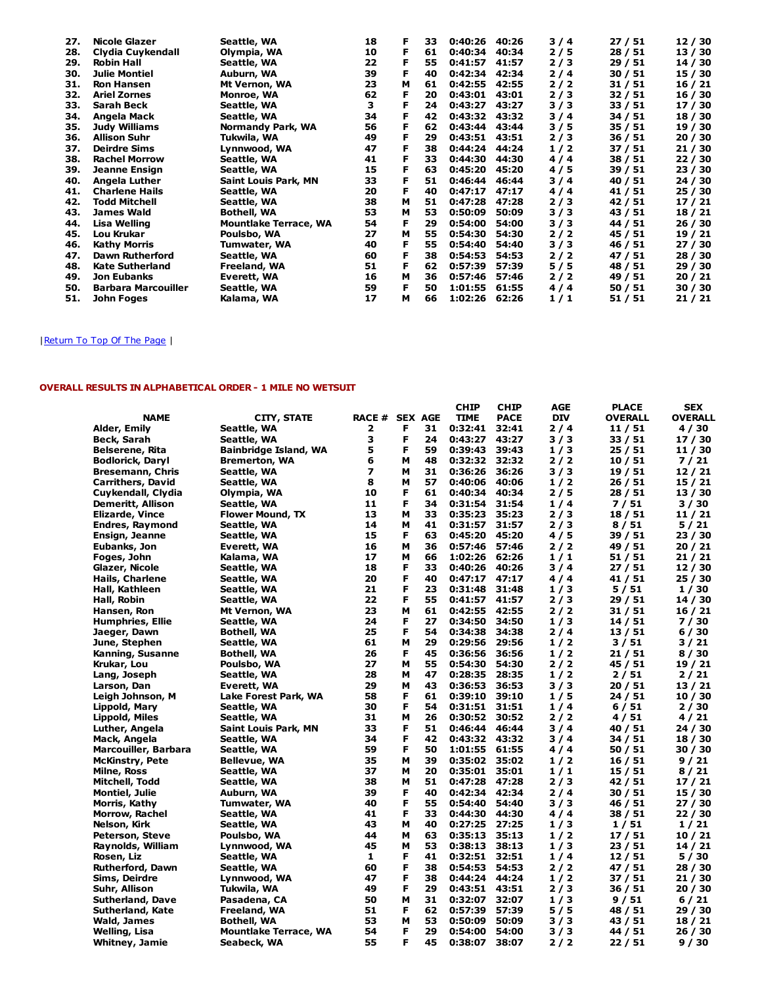| 27. | Nicole Glazer              | Seattle, WA                  | 18 | F | 33 | 0:40:26 | 40:26 | 3/4   | 27 / 51 | 12/30   |
|-----|----------------------------|------------------------------|----|---|----|---------|-------|-------|---------|---------|
| 28. | Clydia Cuykendall          | Olympia, WA                  | 10 | F | 61 | 0:40:34 | 40:34 | 2/5   | 28 / 51 | 13/30   |
| 29. | <b>Robin Hall</b>          | Seattle, WA                  | 22 | F | 55 | 0:41:57 | 41:57 | 2/3   | 29 / 51 | 14/30   |
| 30. | Julie Montiel              | Auburn, WA                   | 39 | F | 40 | 0:42:34 | 42:34 | 2/4   | 30 / 51 | 15 / 30 |
| 31. | <b>Ron Hansen</b>          | Mt Vernon, WA                | 23 | м | 61 | 0:42:55 | 42:55 | 2/2   | 31 / 51 | 16/21   |
| 32. | <b>Ariel Zornes</b>        | Monroe, WA                   | 62 | F | 20 | 0:43:01 | 43:01 | 2/3   | 32 / 51 | 16/30   |
| 33. | Sarah Beck                 | Seattle, WA                  | з  | F | 24 | 0:43:27 | 43:27 | 3/3   | 33 / 51 | 17/30   |
| 34. | Angela Mack                | Seattle, WA                  | 34 | F | 42 | 0:43:32 | 43:32 | 3 / 4 | 34 / 51 | 18 / 30 |
| 35. | <b>Judy Williams</b>       | Normandy Park, WA            | 56 | F | 62 | 0:43:44 | 43:44 | 3/5   | 35 / 51 | 19 / 30 |
| 36. | <b>Allison Suhr</b>        | Tukwila, WA                  | 49 | F | 29 | 0:43:51 | 43:51 | 2/3   | 36 / 51 | 20/30   |
| 37. | <b>Deirdre Sims</b>        | Lynnwood, WA                 | 47 | F | 38 | 0:44:24 | 44:24 | 1/2   | 37 / 51 | 21/30   |
| 38. | <b>Rachel Morrow</b>       | Seattle, WA                  | 41 | F | 33 | 0:44:30 | 44:30 | 4/4   | 38 / 51 | 22/30   |
| 39. | <b>Jeanne Ensign</b>       | Seattle, WA                  | 15 | F | 63 | 0:45:20 | 45:20 | 4/5   | 39 / 51 | 23/30   |
| 40. | Angela Luther              | Saint Louis Park, MN         | 33 | F | 51 | 0:46:44 | 46:44 | 3 / 4 | 40 / 51 | 24 / 30 |
| 41. | <b>Charlene Hails</b>      | Seattle, WA                  | 20 | F | 40 | 0:47:17 | 47:17 | 4/4   | 41 / 51 | 25/30   |
| 42. | <b>Todd Mitchell</b>       | Seattle, WA                  | 38 | м | 51 | 0:47:28 | 47:28 | 2/3   | 42 / 51 | 17/21   |
| 43. | <b>James Wald</b>          | <b>Bothell, WA</b>           | 53 | м | 53 | 0:50:09 | 50:09 | 3/3   | 43 / 51 | 18/21   |
| 44. | Lisa Welling               | <b>Mountlake Terrace, WA</b> | 54 | F | 29 | 0:54:00 | 54:00 | 3/3   | 44 / 51 | 26/30   |
| 45. | Lou Krukar                 | Poulsbo, WA                  | 27 | м | 55 | 0:54:30 | 54:30 | 2/2   | 45 / 51 | 19/21   |
| 46. | Kathy Morris               | <b>Tumwater, WA</b>          | 40 | F | 55 | 0:54:40 | 54:40 | 3/3   | 46 / 51 | 27/30   |
| 47. | <b>Dawn Rutherford</b>     | Seattle, WA                  | 60 | F | 38 | 0:54:53 | 54:53 | $2/2$ | 47/51   | 28 / 30 |
| 48. | <b>Kate Sutherland</b>     | Freeland, WA                 | 51 | F | 62 | 0:57:39 | 57:39 | 5/5   | 48 / 51 | 29 / 30 |
| 49. | <b>Jon Eubanks</b>         | Everett, WA                  | 16 | м | 36 | 0:57:46 | 57:46 | 2/2   | 49 / 51 | 20/21   |
| 50. | <b>Barbara Marcouiller</b> | Seattle, WA                  | 59 | F | 50 | 1:01:55 | 61:55 | 4/4   | 50/51   | 30/30   |
| 51. | John Foges                 | Kalama, WA                   | 17 | м | 66 | 1:02:26 | 62:26 | 1/1   | 51/51   | 21/21   |

## | Return To Top Of The Page

#### OVERALL RESULTS IN ALPHABETICAL ORDER - 1 MILE NO WETSUIT

|                          |                              |                |   |    | <b>CHIP</b>     | <b>CHIP</b> | <b>AGE</b> | <b>PLACE</b>   | <b>SEX</b>     |
|--------------------------|------------------------------|----------------|---|----|-----------------|-------------|------------|----------------|----------------|
| <b>NAME</b>              | <b>CITY, STATE</b>           | RACE # SEX AGE |   |    | TIME            | <b>PACE</b> | DIV        | <b>OVERALL</b> | <b>OVERALL</b> |
| Alder, Emily             | Seattle, WA                  | 2              | F | 31 | 0:32:41         | 32:41       | 2/4        | 11/51          | 4/30           |
| Beck, Sarah              | Seattle, WA                  | 3              | F | 24 | 0:43:27         | 43:27       | 3/3        | 33/51          | 17 / 30        |
| Belserene, Rita          | <b>Bainbridge Island, WA</b> | 5              | F | 59 | 0:39:43         | 39:43       | 1/3        | 25/51          | 11 / 30        |
| <b>Bodlorick, Daryl</b>  | <b>Bremerton, WA</b>         | 6              | М | 48 | 0:32:32         | 32:32       | 2/2        | 10/51          | 7/21           |
| Bresemann, Chris         | Seattle, WA                  | 7              | М | 31 | 0:36:26         | 36:26       | 3/3        | 19/51          | 12 / 21        |
| <b>Carrithers, David</b> | Seattle, WA                  | 8              | М | 57 | 0:40:06         | 40:06       | 1/2        | 26/51          | 15 / 21        |
| Cuykendall, Clydia       | Olympia, WA                  | 10             | F | 61 | 0:40:34         | 40:34       | 2/5        | 28 / 51        | 13 / 30        |
| Demeritt, Allison        | Seattle, WA                  | 11             | F | 34 | 0:31:54         | 31:54       | 1/4        | 7/51           | 3/30           |
| Elizarde, Vince          | <b>Flower Mound, TX</b>      | 13             | м | 33 | 0:35:23         | 35:23       | 2/3        | 18/51          | 11 / 21        |
| Endres, Raymond          | Seattle, WA                  | 14             | м | 41 | 0:31:57         | 31:57       | 2/3        | 8/51           | 5/21           |
| Ensign, Jeanne           | Seattle, WA                  | 15             | F | 63 | 0:45:20         | 45:20       | 4/5        | 39/51          | 23 / 30        |
| Eubanks, Jon             | Everett, WA                  | 16             | М | 36 | 0:57:46         | 57:46       | 2/2        | 49 / 51        | 20 / 21        |
| Foges, John              | Kalama, WA                   | 17             | м | 66 | 1:02:26         | 62:26       | 1/1        | 51 / 51        | 21 / 21        |
| Glazer, Nicole           | Seattle, WA                  | 18             | F | 33 | 0:40:26         | 40:26       | 3/4        | 27/51          | 12/30          |
| Hails, Charlene          | Seattle, WA                  | 20             | F | 40 | $0:47:17$ 47:17 |             | 4/4        | 41 / 51        | 25 / 30        |
| Hall, Kathleen           | Seattle, WA                  | 21             | F | 23 | 0:31:48         | 31:48       | 1/3        | 5/51           | 1/30           |
| Hall, Robin              | Seattle, WA                  | 22             | F | 55 | 0:41:57         | 41:57       | 2/3        | 29 / 51        | 14 / 30        |
| Hansen, Ron              | Mt Vernon, WA                | 23             | М | 61 | 0:42:55         | 42:55       | 2/2        | 31/51          | 16 / 21        |
| Humphries, Ellie         | Seattle, WA                  | 24             | F | 27 | 0:34:50         | 34:50       | 1/3        | 14/51          | 7 / 30         |
| Jaeger, Dawn             | Bothell, WA                  | 25             | F | 54 | 0:34:38         | 34:38       | 2/4        | 13 / 51        | 6/30           |
| June, Stephen            | Seattle, WA                  | 61             | М | 29 | 0:29:56         | 29:56       | 1/2        | 3/51           | 3/21           |
| Kanning, Susanne         | <b>Bothell, WA</b>           | 26             | F | 45 | 0:36:56         | 36:56       | 1/2        | 21/51          | 8/30           |
| Krukar, Lou              | Poulsbo, WA                  | 27             | М | 55 | 0:54:30         | 54:30       | 2/2        | 45 / 51        | 19 / 21        |
| Lang, Joseph             | Seattle, WA                  | 28             | М | 47 | 0:28:35         | 28:35       | 1/2        | 2/51           | 2/21           |
| Larson, Dan              | Everett, WA                  | 29             | м | 43 | 0:36:53         | 36:53       | 3/3        | 20 / 51        | 13 / 21        |
| Leigh Johnson, M         | Lake Forest Park, WA         | 58             | F | 61 | 0:39:10         | 39:10       | 1/5        | 24 / 51        | 10 / 30        |
| Lippold, Mary            | Seattle, WA                  | 30             | F | 54 | 0:31:51         | 31:51       | 1/4        | 6 / 51         | 2/30           |
| Lippold, Miles           | Seattle, WA                  | 31             | М | 26 | 0:30:52         | 30:52       | 2/2        | 4 / 51         | 4 / 21         |
| Luther, Angela           | <b>Saint Louis Park, MN</b>  | 33             | F | 51 | 0:46:44         | 46:44       | 3 / 4      | 40 / 51        | 24 / 30        |
| Mack, Angela             | Seattle, WA                  | 34             | F | 42 | 0:43:32         | 43:32       | 3 / 4      | 34 / 51        | 18 / 30        |
| Marcouiller, Barbara     | Seattle, WA                  | 59             | F | 50 | 1:01:55         | 61:55       | 4/4        | 50 / 51        | 30 / 30        |
| McKinstry, Pete          | <b>Bellevue, WA</b>          | 35             | м | 39 | 0:35:02 35:02   |             | 1/2        | 16 / 51        | 9 / 21         |
| Milne, Ross              | Seattle, WA                  | 37             | М | 20 | 0:35:01 35:01   |             | 1/1        | 15 / 51        | 8/21           |
| Mitchell, Todd           | Seattle, WA                  | 38             | М | 51 | 0:47:28         | 47:28       | 2/3        | 42 / 51        | 17 / 21        |
| Montiel, Julie           | Auburn, WA                   | 39             | F | 40 | 0:42:34         | 42:34       | 2/4        | 30 / 51        | 15 / 30        |
| Morris, Kathy            | Tumwater, WA                 | 40             | F | 55 | 0:54:40         | 54:40       | 3/3        | 46 / 51        | 27 / 30        |
| Morrow, Rachel           | Seattle, WA                  | 41             | F | 33 | 0:44:30         | 44:30       | 4/4        | 38 / 51        | 22 / 30        |
| Nelson, Kirk             | Seattle, WA                  | 43             | М | 40 | 0:27:25         | 27:25       | 1/3        | 1/51           | 1/21           |
| Peterson, Steve          | Poulsbo, WA                  | 44             | М | 63 | 0:35:13         | 35:13       | 1/2        | 17/51          | 10/21          |
| Raynolds, William        | Lynnwood, WA                 | 45             | М | 53 | 0:38:13         | 38:13       | 1/3        | 23/51          | 14 / 21        |
| Rosen, Liz               | Seattle, WA                  | 1              | F | 41 | 0:32:51         | 32:51       | 1/4        | 12/51          | 5/30           |
| Rutherford, Dawn         | Seattle, WA                  | 60             | F | 38 | 0:54:53         | 54:53       | 2/2        | 47 / 51        | 28 / 30        |
| Sims, Deirdre            | Lynnwood, WA                 | 47             | F | 38 | 0:44:24         | 44:24       | 1/2        | 37/51          | 21 / 30        |
| Suhr, Allison            | Tukwila, WA                  | 49             | F | 29 | 0:43:51         | 43:51       | 2/3        | 36/51          | 20 / 30        |
| Sutherland, Dave         | Pasadena, CA                 | 50             | М | 31 | 0:32:07 32:07   |             | 1/3        | 9/51           | 6/21           |
| Sutherland, Kate         | Freeland, WA                 | 51             | F | 62 | 0:57:39         | 57:39       | 5/5        | 48 / 51        | 29 / 30        |
| Wald, James              | <b>Bothell, WA</b>           | 53             | м | 53 | 0:50:09         | 50:09       | 3/3        | 43 / 51        | 18 / 21        |
| Welling, Lisa            | <b>Mountlake Terrace, WA</b> | 54             | F | 29 | 0:54:00         | 54:00       | 3/3        | 44 / 51        | 26 / 30        |
| <b>Whitney, Jamie</b>    | Seabeck, WA                  | 55             | F | 45 | 0:38:07         | 38:07       | 2/2        | 22/51          | 9/30           |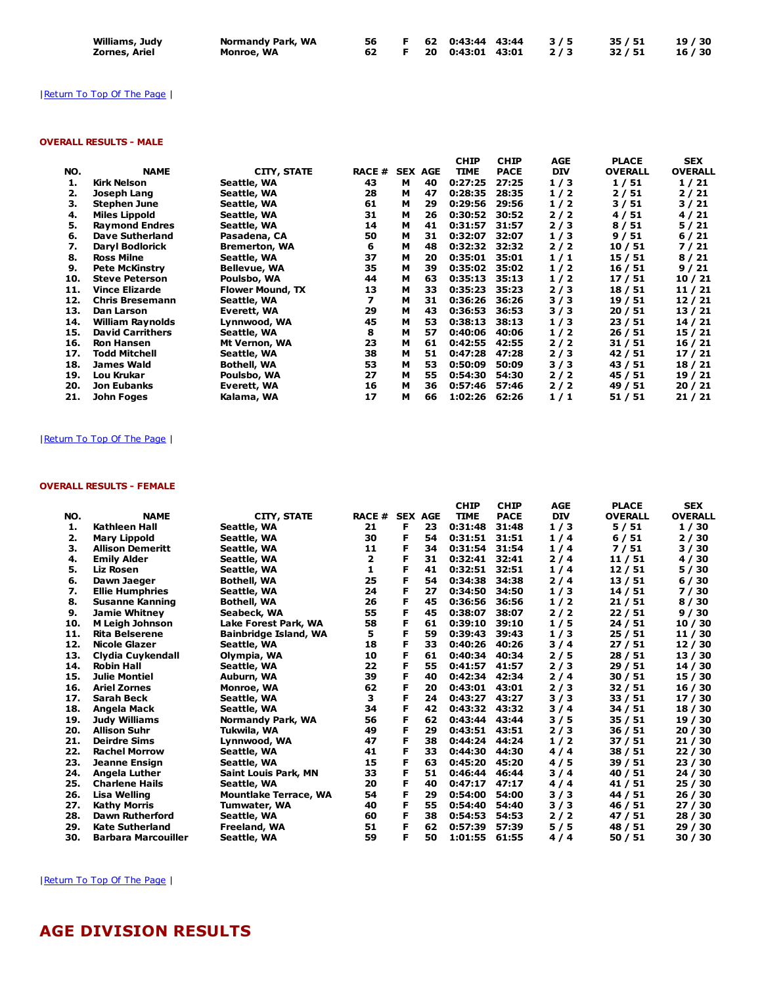| Williams, Judy | Normandy Park, WA |  | 56 F 62 0:43:44 43:44 3/5 35/51       |  | 19 / 30 |
|----------------|-------------------|--|---------------------------------------|--|---------|
| Zornes, Ariel  | Monroe, WA        |  | 62 F 20 0:43:01 43:01 2/3 32/51 16/30 |  |         |

## | Return To Top Of The Page |

## OVERALL RESULTS - MALE

|                         |                         |               |   |    | <b>CHIP</b>    | <b>CHIP</b> | <b>AGE</b> | <b>PLACE</b>   | <b>SEX</b>     |
|-------------------------|-------------------------|---------------|---|----|----------------|-------------|------------|----------------|----------------|
| <b>NAME</b>             | <b>CITY, STATE</b>      | <b>RACE #</b> |   |    | <b>TIME</b>    | <b>PACE</b> | <b>DIV</b> | <b>OVERALL</b> | <b>OVERALL</b> |
| Kirk Nelson             | Seattle, WA             | 43            | м | 40 | 0:27:25        | 27:25       | 1/3        | 1/51           | 1/21           |
| Joseph Lang             | Seattle, WA             | 28            | м | 47 | 0:28:35        | 28:35       | 1/2        | 2/51           | 2/21           |
| <b>Stephen June</b>     | Seattle, WA             | 61            | м | 29 | 0:29:56        | 29:56       | 1/2        | 3/51           | 3/21           |
| <b>Miles Lippold</b>    | Seattle, WA             | 31            | м | 26 | 0:30:52        | 30:52       | 2/2        | 4/51           | 4/21           |
| <b>Raymond Endres</b>   | Seattle, WA             | 14            | м | 41 | 0:31:57        | 31:57       | 2/3        | 8/51           | 5/21           |
| <b>Dave Sutherland</b>  | Pasadena, CA            | 50            | м | 31 | 0:32:07        | 32:07       | 1/3        | 9/51           | 6/21           |
| <b>Daryl Bodlorick</b>  | <b>Bremerton, WA</b>    | 6             | м | 48 | 0:32:32        | 32:32       | 2/2        | 10 / 51        | 7/21           |
| <b>Ross Milne</b>       | Seattle, WA             | 37            | м | 20 | 0:35:01        | 35:01       | 1/1        | 15 / 51        | 8/21           |
| <b>Pete McKinstry</b>   | <b>Bellevue, WA</b>     | 35            | м | 39 | 0:35:02        | 35:02       | 1/2        | 16/51          | 9/21           |
| <b>Steve Peterson</b>   | Poulsbo, WA             | 44            | м | 63 | 0:35:13        | 35:13       | 1/2        | 17/51          | 10/21          |
| <b>Vince Elizarde</b>   | <b>Flower Mound, TX</b> | 13            | м | 33 | 0:35:23        | 35:23       | 2/3        | 18/51          | 11/21          |
| <b>Chris Bresemann</b>  | Seattle, WA             | 7             | м | 31 | 0:36:26        | 36:26       | 3/3        | 19 / 51        | 12/21          |
| Dan Larson              | Everett, WA             | 29            | м | 43 | 0:36:53        | 36:53       | 3/3        | 20/51          | 13/21          |
| William Raynolds        | Lynnwood, WA            | 45            | м | 53 | 0:38:13        | 38:13       | 1/3        | 23/51          | 14/21          |
| <b>David Carrithers</b> | Seattle, WA             | 8             | м | 57 | 0:40:06        | 40:06       | 1/2        | 26/51          | 15/21          |
| <b>Ron Hansen</b>       | Mt Vernon, WA           | 23            | м | 61 | 0:42:55        | 42:55       | 2/2        | 31 / 51        | 16/21          |
| <b>Todd Mitchell</b>    | Seattle, WA             | 38            | м | 51 | 0:47:28        | 47:28       | 2/3        | 42 / 51        | 17/21          |
| <b>James Wald</b>       | <b>Bothell, WA</b>      | 53            | м | 53 | 0:50:09        | 50:09       | 3/3        | 43 / 51        | 18/21          |
| Lou Krukar              | Poulsbo, WA             | 27            | м | 55 | 0:54:30        | 54:30       | 2/2        | 45 / 51        | 19 / 21        |
| Jon Eubanks             | Everett, WA             | 16            | м | 36 | 0:57:46        | 57:46       | 2/2        | 49 / 51        | 20/21          |
| John Foges              | Kalama, WA              | 17            | м | 66 | 1:02:26        | 62:26       | 1/1        | 51/51          | 21/21          |
|                         |                         |               |   |    | <b>SEX AGE</b> |             |            |                |                |

## |Return To Top Of The Page |

## OVERALL RESULTS - FEMALE

|     |                            |                              |              |                |    | <b>CHIP</b> | <b>CHIP</b> | AGE        | <b>PLACE</b>   | <b>SEX</b>     |
|-----|----------------------------|------------------------------|--------------|----------------|----|-------------|-------------|------------|----------------|----------------|
| NO. | <b>NAME</b>                | <b>CITY, STATE</b>           | <b>RACE#</b> | <b>SEX AGE</b> |    | <b>TIME</b> | <b>PACE</b> | <b>DIV</b> | <b>OVERALL</b> | <b>OVERALL</b> |
| 1.  | Kathleen Hall              | Seattle, WA                  | 21           | F              | 23 | 0:31:48     | 31:48       | 1/3        | 5/51           | 1/30           |
| 2.  | <b>Mary Lippold</b>        | Seattle, WA                  | 30           | F              | 54 | 0:31:51     | 31:51       | 1/4        | 6/51           | 2/30           |
| з.  | <b>Allison Demeritt</b>    | Seattle, WA                  | 11           | F              | 34 | 0:31:54     | 31:54       | 1/4        | 7/51           | 3/30           |
| 4.  | <b>Emily Alder</b>         | Seattle, WA                  | 2            | F              | 31 | 0:32:41     | 32:41       | 2/4        | 11 / 51        | 4/30           |
| 5.  | <b>Liz Rosen</b>           | Seattle, WA                  | 1            | F              | 41 | 0:32:51     | 32:51       | 1/4        | 12/51          | 5/30           |
| 6.  | Dawn Jaeger                | <b>Bothell, WA</b>           | 25           | F              | 54 | 0:34:38     | 34:38       | 2/4        | 13/51          | 6/30           |
| 7.  | <b>Ellie Humphries</b>     | Seattle, WA                  | 24           | F              | 27 | 0:34:50     | 34:50       | 1/3        | 14 / 51        | 7/30           |
| 8.  | <b>Susanne Kanning</b>     | <b>Bothell, WA</b>           | 26           | F              | 45 | 0:36:56     | 36:56       | 1/2        | 21/51          | 8/30           |
| 9.  | <b>Jamie Whitney</b>       | Seabeck, WA                  | 55           | F              | 45 | 0:38:07     | 38:07       | 2/2        | 22/51          | 9/30           |
| 10. | <b>M Leigh Johnson</b>     | Lake Forest Park, WA         | 58           | F              | 61 | 0:39:10     | 39:10       | 1/5        | 24 / 51        | 10 / 30        |
| 11. | <b>Rita Belserene</b>      | <b>Bainbridge Island, WA</b> | 5            | F              | 59 | 0:39:43     | 39:43       | 1/3        | 25/51          | 11/30          |
| 12. | <b>Nicole Glazer</b>       | Seattle, WA                  | 18           | F              | 33 | 0:40:26     | 40:26       | 3/4        | 27/51          | 12/30          |
| 13. | Clydia Cuykendall          | Olympia, WA                  | 10           | F              | 61 | 0:40:34     | 40:34       | 2/5        | 28 / 51        | 13 / 30        |
| 14. | <b>Robin Hall</b>          | Seattle, WA                  | 22           | F              | 55 | 0:41:57     | 41:57       | 2/3        | 29/51          | 14 / 30        |
| 15. | <b>Julie Montiel</b>       | Auburn, WA                   | 39           | F              | 40 | 0:42:34     | 42:34       | 2/4        | 30 / 51        | 15 / 30        |
| 16. | <b>Ariel Zornes</b>        | Monroe, WA                   | 62           | F              | 20 | 0:43:01     | 43:01       | 2/3        | 32/51          | 16 / 30        |
| 17. | Sarah Beck                 | Seattle, WA                  | 3            | F              | 24 | 0:43:27     | 43:27       | 3/3        | 33/51          | 17 / 30        |
| 18. | Angela Mack                | Seattle, WA                  | 34           | F              | 42 | 0:43:32     | 43:32       | 3/4        | 34 / 51        | 18 / 30        |
| 19. | <b>Judy Williams</b>       | Normandy Park, WA            | 56           | F              | 62 | 0:43:44     | 43:44       | 3/5        | 35 / 51        | 19 / 30        |
| 20. | <b>Allison Suhr</b>        | Tukwila, WA                  | 49           | F              | 29 | 0:43:51     | 43:51       | 2/3        | 36/51          | 20/30          |
| 21. | <b>Deirdre Sims</b>        | Lynnwood, WA                 | 47           | F              | 38 | 0:44:24     | 44:24       | 1/2        | 37 / 51        | 21 / 30        |
| 22. | <b>Rachel Morrow</b>       | Seattle, WA                  | 41           | F              | 33 | 0:44:30     | 44:30       | 4/4        | 38 / 51        | 22 / 30        |
| 23. | <b>Jeanne Ensign</b>       | Seattle, WA                  | 15           | F              | 63 | 0:45:20     | 45:20       | 4/5        | 39 / 51        | 23 / 30        |
| 24. | Angela Luther              | Saint Louis Park, MN         | 33           | F              | 51 | 0:46:44     | 46:44       | 3/4        | 40 / 51        | 24 / 30        |
| 25. | <b>Charlene Hails</b>      | Seattle, WA                  | 20           | F              | 40 | 0:47:17     | 47:17       | 4/4        | 41 / 51        | 25/30          |
| 26. | Lisa Welling               | <b>Mountlake Terrace, WA</b> | 54           | F              | 29 | 0:54:00     | 54:00       | 3/3        | 44 / 51        | 26 / 30        |
| 27. | <b>Kathy Morris</b>        | Tumwater, WA                 | 40           | F              | 55 | 0:54:40     | 54:40       | 3/3        | 46 / 51        | 27 / 30        |
| 28. | <b>Dawn Rutherford</b>     | Seattle, WA                  | 60           | F              | 38 | 0:54:53     | 54:53       | 2/2        | 47 / 51        | 28 / 30        |
| 29. | <b>Kate Sutherland</b>     | Freeland, WA                 | 51           | F              | 62 | 0:57:39     | 57:39       | 5/5        | 48 / 51        | 29/30          |
| 30. | <b>Barbara Marcouiller</b> | Seattle, WA                  | 59           | F              | 50 | 1:01:55     | 61:55       | 4/4        | 50 / 51        | 30 / 30        |

| Return To Top Of The Page |

# AGE DIVISION RESULTS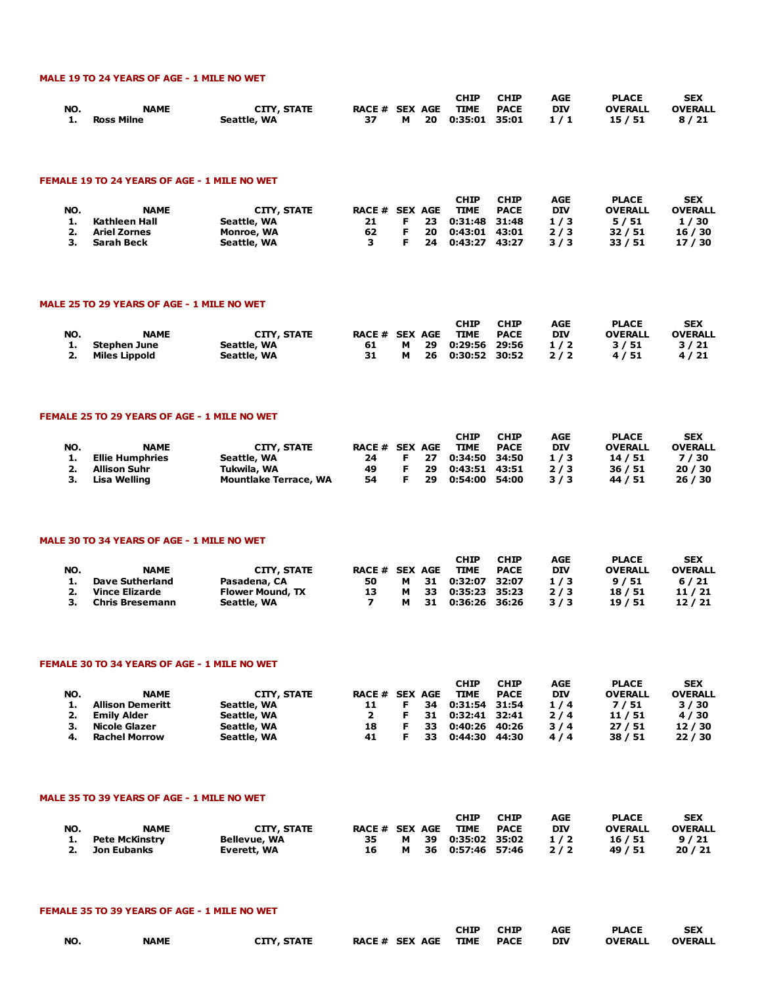## MALE 19 TO 24 YEARS OF AGE - 1 MILE NO WET

|     |             |                    |                     |  | <b>CHIP</b>        | <b>CHIP</b> | AGE | <b>PLACE</b>   | <b>SEX</b>     |
|-----|-------------|--------------------|---------------------|--|--------------------|-------------|-----|----------------|----------------|
| NO. | <b>NAME</b> | <b>CITY, STATE</b> | RACE # SEX AGE TIME |  |                    | PACE        | DIV | <b>OVERALL</b> | <b>OVERALL</b> |
| 1.  | Ross Milne  | Seattle, WA        | 37                  |  | M 20 0:35:01 35:01 |             | 1/1 | 15 / 51        | 8/21           |

#### FEMALE 19 TO 24 YEARS OF AGE - 1 MILE NO WET

| NO. | <b>NAME</b>         | <b>CITY, STATE</b> | <b>RACE # SEX AGE</b> |    | <b>CHIP</b><br><b>TIME</b> | <b>CHIP</b><br><b>PACE</b> | AGE<br><b>DIV</b> | <b>PLACE</b><br><b>OVERALL</b> | <b>SEX</b><br><b>OVERALL</b> |
|-----|---------------------|--------------------|-----------------------|----|----------------------------|----------------------------|-------------------|--------------------------------|------------------------------|
|     | Kathleen Hall       | Seattle, WA        | 21                    | 23 | 0:31:48 31:48              |                            | 1/3               | 5/51                           | 1/30                         |
|     | <b>Ariel Zornes</b> | Monroe, WA         | 62                    | 20 | 0:43:01 43:01              |                            | 2/3               | 32/51                          | 16 / 30                      |
|     | Sarah Beck          | Seattle, WA        |                       | 24 | 0:43:27 43:27              |                            | 3/3               | 33/51                          | 17 / 30                      |

#### MALE 25 TO 29 YEARS OF AGE - 1 MILE NO WET

| NO. | <b>NAME</b>      | <b>CITY, STATE</b> | RACE # SEX AGE |   |     | <b>CHIP</b><br><b>TIME</b> | <b>CHIP</b><br><b>PACE</b> | AGE<br><b>DIV</b> | <b>PLACE</b><br><b>OVERALL</b> | <b>SEX</b><br><b>OVERALL</b> |
|-----|------------------|--------------------|----------------|---|-----|----------------------------|----------------------------|-------------------|--------------------------------|------------------------------|
|     | Stephen June     | Seattle, WA        | 61             | м | -29 | 0:29:56 29:56              |                            | 1/2               | 3/51                           | 3/21                         |
|     | 2. Miles Lippold | Seattle, WA        | 31             | м | -26 | 0:30:52 30:52              |                            | 2/2               | 4/51                           | 4/21                         |

#### FEMALE 25 TO 29 YEARS OF AGE - 1 MILE NO WET

|     |                 |                              |                |      | <b>CHIP</b>   | <b>CHIP</b> | AGE        | <b>PLACE</b>   | <b>SEX</b>     |
|-----|-----------------|------------------------------|----------------|------|---------------|-------------|------------|----------------|----------------|
| NO. | <b>NAME</b>     | <b>CITY, STATE</b>           | RACE # SEX AGE |      | TIME          | <b>PACE</b> | <b>DIV</b> | <b>OVERALL</b> | <b>OVERALL</b> |
|     | Ellie Humphries | Seattle, WA                  | 24             | F 27 | 0:34:50 34:50 |             | 1/3        | 14/51          | 7/30           |
|     | 2. Allison Suhr | Tukwila, WA                  | 49             | -29  | 0:43:51 43:51 |             | 2/3        | 36 / 51        | 20/30          |
|     | 3. Lisa Welling | <b>Mountlake Terrace, WA</b> | 54             | 29   | 0:54:00 54:00 |             | 3/3        | 44 / 51        | 26/30          |

#### MALE 30 TO 34 YEARS OF AGE - 1 MILE NO WET

| NO. | <b>NAME</b>            | CITY, STATE             | <b>RACE # SEX AGE</b> |   |     | <b>CHIP</b><br><b>TIME</b> | <b>CHIP</b><br><b>PACE</b> | AGE<br><b>DIV</b> | <b>PLACE</b><br><b>OVERALL</b> | <b>SEX</b><br><b>OVERALL</b> |
|-----|------------------------|-------------------------|-----------------------|---|-----|----------------------------|----------------------------|-------------------|--------------------------------|------------------------------|
|     | <b>Dave Sutherland</b> | Pasadena, CA            | 50                    | м | -31 | 0:32:07                    | 32:07                      | 1/3               | 9/51                           | 6/21                         |
|     | Vince Elizarde         | <b>Flower Mound, TX</b> | 13                    | м | 33  | 0:35:23 35:23              |                            | 2/3               | 18/51                          | 11/21                        |
| З.  | Chris Bresemann        | Seattle, WA             |                       | м | 31  | 0:36:26 36:26              |                            | 3/3               | 19/51                          | 12/21                        |

#### FEMALE 30 TO 34 YEARS OF AGE - 1 MILE NO WET

| NO. | <b>NAME</b>          | CITY, STATE | RACE # SEX AGE |    |     | CHIP<br><b>TIME</b> | <b>CHIP</b><br><b>PACE</b> | AGE<br><b>DIV</b> | <b>PLACE</b><br><b>OVERALL</b> | <b>SEX</b><br><b>OVERALL</b> |
|-----|----------------------|-------------|----------------|----|-----|---------------------|----------------------------|-------------------|--------------------------------|------------------------------|
|     | Allison Demeritt     | Seattle, WA |                |    | 34  | 0:31:54 31:54       |                            | 1/4               | 7/51                           | 3/30                         |
| 2.  | Emily Alder          | Seattle, WA |                |    | 31  | 0:32:41 32:41       |                            | 2/4               | 11/51                          | 4/30                         |
|     | Nicole Glazer        | Seattle, WA | 18             | E. | 33. | 0:40:26 40:26       |                            | 3/4               | 27/51                          | 12/30                        |
| 4.  | <b>Rachel Morrow</b> | Seattle, WA | 41             |    | 33. | 0:44:30 44:30       |                            | 4/4               | 38/51                          | 22/30                        |

#### MALE 35 TO 39 YEARS OF AGE - 1 MILE NO WET

| NO. | <b>NAME</b>       | <b>CITY, STATE</b>  | RACE # SEX AGE |   |      | <b>CHIP</b><br>TIME | <b>CHIP</b><br><b>PACE</b> | AGE<br><b>DIV</b> | <b>PLACE</b><br><b>OVERALL</b> | <b>SEX</b><br><b>OVERALL</b> |
|-----|-------------------|---------------------|----------------|---|------|---------------------|----------------------------|-------------------|--------------------------------|------------------------------|
|     | 1. Pete McKinstry | <b>Bellevue, WA</b> | 35             | м | - 39 | 0:35:02 35:02       |                            | 1/2               | 16 / 51                        | 9/21                         |
|     | 2. Jon Eubanks    | Everett, WA         | 16             | м | -36  | 0:57:46 57:46       |                            | 2/2               | 49 / 51                        | 20/21                        |

#### FEMALE 35 TO 39 YEARS OF AGE - 1 MILE NO WET

|     |             |                    |                          | <b>CHIP</b> | <b>CHIP</b> | <b>AGE</b> | <b>PLACE</b>   | <b>SEX</b>     |
|-----|-------------|--------------------|--------------------------|-------------|-------------|------------|----------------|----------------|
| NO. | <b>NAME</b> | <b>CITY, STATE</b> | RACE # SEX AGE TIME PACE |             |             | DIV        | <b>OVERALL</b> | <b>OVERALL</b> |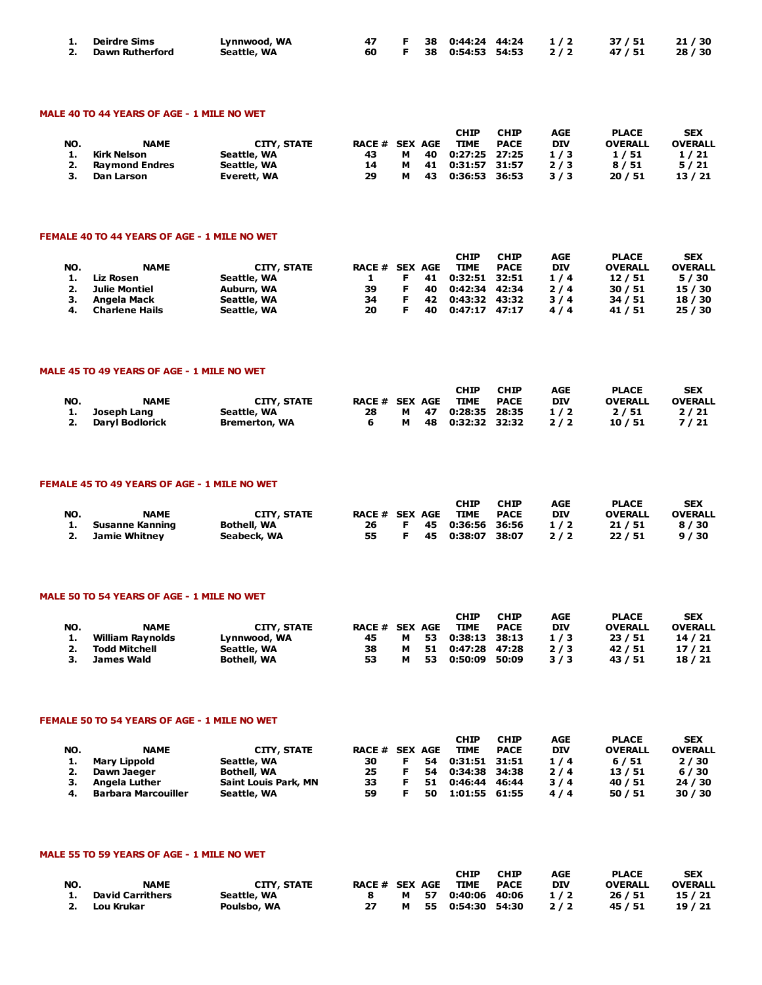| 1. Deirdre Sims    | Lynnwood, WA |  |  |  | 47 F 38 0:44:24 44:24 1/2 37/51 21/30 |  |
|--------------------|--------------|--|--|--|---------------------------------------|--|
| 2. Dawn Rutherford | Seattle, WA  |  |  |  | 60 F 38 0:54:53 54:53 2/2 47/51 28/30 |  |

#### MALE 40 TO 44 YEARS OF AGE - 1 MILE NO WET

|     |                       |             |                       |   |    | <b>CHIP</b>   | <b>CHIP</b> | AGE        | <b>PLACE</b>   | <b>SEX</b>     |
|-----|-----------------------|-------------|-----------------------|---|----|---------------|-------------|------------|----------------|----------------|
| NO. | <b>NAME</b>           | CITY, STATE | <b>RACE # SEX AGE</b> |   |    | <b>TIME</b>   | <b>PACE</b> | <b>DIV</b> | <b>OVERALL</b> | <b>OVERALL</b> |
|     | Kirk Nelson           | Seattle, WA | 43                    | м | 40 | 0:27:25 27:25 |             | 1/3        | 1/51           | 1/21           |
|     | <b>Raymond Endres</b> | Seattle, WA | 14                    | м | 41 | 0:31:57 31:57 |             | 2/3        | 8/51           | 5/21           |
|     | Dan Larson            | Everett, WA | 29                    | м | 43 | 0:36:53       | 36:53       | 3/3        | 20/51          | 13/21          |

#### FEMALE 40 TO 44 YEARS OF AGE - 1 MILE NO WET

| NO. | <b>NAME</b>           | CITY, STATE | RACE # SEX AGE |    | <b>CHIP</b><br><b>TIME</b> | <b>CHIP</b><br><b>PACE</b> | AGE<br><b>DIV</b> | <b>PLACE</b><br><b>OVERALL</b> | <b>SEX</b><br><b>OVERALL</b> |
|-----|-----------------------|-------------|----------------|----|----------------------------|----------------------------|-------------------|--------------------------------|------------------------------|
|     | Liz Rosen             | Seattle, WA |                | 41 | 0:32:51 32:51              |                            | 1/4               | 12/51                          | 5/30                         |
|     | Julie Montiel         | Auburn, WA  | 39             | 40 | 0:42:34 42:34              |                            | 2/4               | 30/51                          | 15 / 30                      |
| з.  | Angela Mack           | Seattle, WA | 34             | 42 | 0:43:32 43:32              |                            | 3/4               | 34/51                          | 18 / 30                      |
|     | <b>Charlene Hails</b> | Seattle, WA | 20             | 40 | $0:47:17$ $47:17$          |                            | 4/4               | 41 / 51                        | 25/30                        |

#### MALE 45 TO 49 YEARS OF AGE - 1 MILE NO WET

|     |                 |                      |                       |  | CHIP               | <b>CHIP</b> | AGE | <b>PLACE</b>   | <b>SEX</b>     |
|-----|-----------------|----------------------|-----------------------|--|--------------------|-------------|-----|----------------|----------------|
| NO. | <b>NAME</b>     | <b>CITY, STATE</b>   | <b>RACE # SEX AGE</b> |  | TIME               | <b>PACE</b> | DIV | <b>OVERALL</b> | <b>OVERALL</b> |
|     | 1. Joseph Lang  | Seattle, WA          | 28.                   |  | M 47 0:28:35 28:35 |             | 1/2 | 2/51           | 2/21           |
| 2.  | Darvl Bodlorick | <b>Bremerton, WA</b> |                       |  | M 48 0:32:32 32:32 |             | 2/2 | 10/51          | 7/21           |

#### FEMALE 45 TO 49 YEARS OF AGE - 1 MILE NO WET

|     |                    |                    |                |    | CHIP               | <b>CHIP</b> | AGE        | <b>PLACE</b>   | <b>SEX</b>     |
|-----|--------------------|--------------------|----------------|----|--------------------|-------------|------------|----------------|----------------|
| NO. | <b>NAME</b>        | CITY, STATE        | RACE # SEX AGE |    | <b>TIME</b>        | <b>PACE</b> | <b>DIV</b> | <b>OVERALL</b> | <b>OVERALL</b> |
|     | 1. Susanne Kanning | <b>Bothell, WA</b> | 26 —           |    | F 45 0:36:56 36:56 |             | 1/2        | 21 / 51        | 8/30           |
|     | 2. Jamie Whitnev   | Seabeck, WA        | 55 —           | F. | 45  0:38:07  38:07 |             | 2/2        | 22 / 51        | 9/30           |

#### MALE 50 TO 54 YEARS OF AGE - 1 MILE NO WET

| NO. | <b>NAME</b>      | <b>CITY, STATE</b> | RACE # SEX AGE |   |     | <b>CHIP</b><br><b>TIME</b> | <b>CHIP</b><br><b>PACE</b> | AGE<br><b>DIV</b> | <b>PLACE</b><br><b>OVERALL</b> | <b>SEX</b><br><b>OVERALL</b> |
|-----|------------------|--------------------|----------------|---|-----|----------------------------|----------------------------|-------------------|--------------------------------|------------------------------|
|     | William Ravnolds | Lynnwood, WA       | 45             | м | -53 | 0:38:13 38:13              |                            | 1/3               | 23/51                          | 14/21                        |
|     | Todd Mitchell    | Seattle, WA        | 38             | м | 51  | 0:47:28 47:28              |                            | 2/3               | 42/51                          | 17/21                        |
|     | James Wald       | <b>Bothell, WA</b> | 53             |   | 53  | 0:50:09                    | 50:09                      | 3/3               | 43 / 51                        | 18 / 21                      |

#### FEMALE 50 TO 54 YEARS OF AGE - 1 MILE NO WET

| NO. | <b>NAME</b>                | CITY, STATE                 | <b>RACE # SEX AGE</b> |    | <b>CHIP</b><br><b>TIME</b> | <b>CHIP</b><br><b>PACE</b> | AGE<br><b>DIV</b> | <b>PLACE</b><br><b>OVERALL</b> | <b>SEX</b><br><b>OVERALL</b> |
|-----|----------------------------|-----------------------------|-----------------------|----|----------------------------|----------------------------|-------------------|--------------------------------|------------------------------|
|     | Mary Lippold               | Seattle, WA                 | 30                    | 54 | 0:31:51 31:51              |                            | 1/4               | 6/51                           | 2/30                         |
| 2.  | Dawn Jaeger                | <b>Bothell, WA</b>          | 25                    | 54 | 0:34:38 34:38              |                            | 2/4               | 13/51                          | 6/30                         |
| з.  | Angela Luther              | <b>Saint Louis Park, MN</b> | 33                    | 51 | 0:46:44 46:44              |                            | 3/4               | 40 / 51                        | 24 / 30                      |
|     | <b>Barbara Marcouiller</b> | Seattle, WA                 | 59                    | 50 | 1:01:55 61:55              |                            | 4/4               | 50/51                          | 30/30                        |

### MALE 55 TO 59 YEARS OF AGE - 1 MILE NO WET

| NO. | <b>NAME</b>             | CITY, STATE | RACE # SEX AGE |   | <b>CHIP</b><br>TIME  | <b>CHIP</b><br>PACE | AGE<br><b>DIV</b> | <b>PLACE</b><br><b>OVERALL</b> | <b>SEX</b><br><b>OVERALL</b> |
|-----|-------------------------|-------------|----------------|---|----------------------|---------------------|-------------------|--------------------------------|------------------------------|
| 1.  | <b>David Carrithers</b> | Seattle, WA |                | M | 57  0:40:06  40:06   |                     | 1/2               | 26 / 51                        | 15/21                        |
| 2.  | Lou Krukar              | Poulsbo, WA | 27             | м | 55   0:54:30   54:30 |                     | 2/2               | 45 / 51                        | 19/21                        |